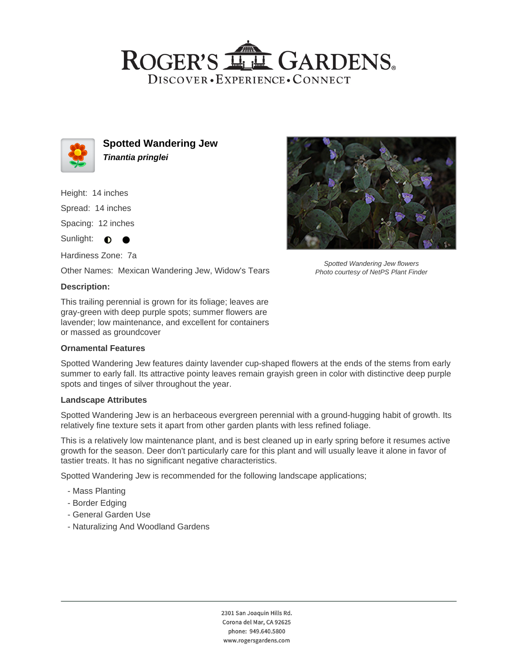## ROGER'S LL GARDENS. DISCOVER · EXPERIENCE · CONNECT



**Spotted Wandering Jew Tinantia pringlei**

Height: 14 inches

Spread: 14 inches

Spacing: 12 inches

Sunlight:  $\bullet$  $\bullet$ 

Hardiness Zone: 7a

Other Names: Mexican Wandering Jew, Widow's Tears

### **Description:**

This trailing perennial is grown for its foliage; leaves are gray-green with deep purple spots; summer flowers are lavender; low maintenance, and excellent for containers or massed as groundcover

#### **Ornamental Features**

Spotted Wandering Jew features dainty lavender cup-shaped flowers at the ends of the stems from early summer to early fall. Its attractive pointy leaves remain grayish green in color with distinctive deep purple spots and tinges of silver throughout the year.

#### **Landscape Attributes**

Spotted Wandering Jew is an herbaceous evergreen perennial with a ground-hugging habit of growth. Its relatively fine texture sets it apart from other garden plants with less refined foliage.

This is a relatively low maintenance plant, and is best cleaned up in early spring before it resumes active growth for the season. Deer don't particularly care for this plant and will usually leave it alone in favor of tastier treats. It has no significant negative characteristics.

Spotted Wandering Jew is recommended for the following landscape applications;

- Mass Planting
- Border Edging
- General Garden Use
- Naturalizing And Woodland Gardens



Spotted Wandering Jew flowers Photo courtesy of NetPS Plant Finder

2301 San Joaquin Hills Rd. Corona del Mar, CA 92625 phone: 949.640.5800 www.rogersgardens.com